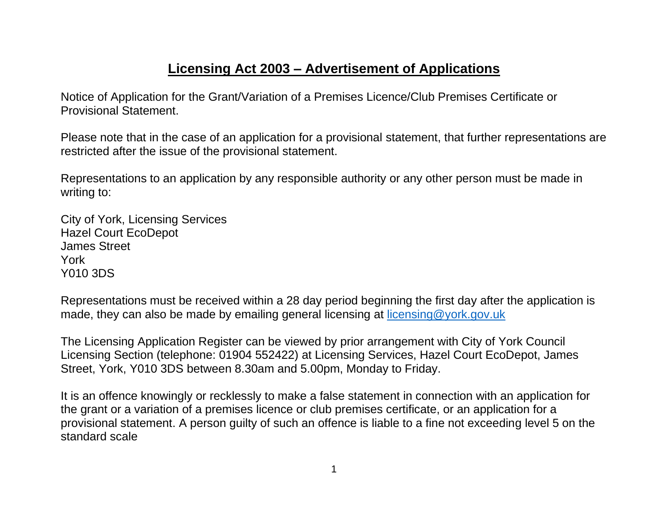## **Licensing Act 2003 – Advertisement of Applications**

Notice of Application for the Grant/Variation of a Premises Licence/Club Premises Certificate or Provisional Statement.

Please note that in the case of an application for a provisional statement, that further representations are restricted after the issue of the provisional statement.

Representations to an application by any responsible authority or any other person must be made in writing to:

City of York, Licensing Services Hazel Court EcoDepot James Street York Y010 3DS

Representations must be received within a 28 day period beginning the first day after the application is made, they can also be made by emailing general licensing at [licensing@york.gov.uk](mailto:licensing@york.gov.uk)

The Licensing Application Register can be viewed by prior arrangement with City of York Council Licensing Section (telephone: 01904 552422) at Licensing Services, Hazel Court EcoDepot, James Street, York, Y010 3DS between 8.30am and 5.00pm, Monday to Friday.

It is an offence knowingly or recklessly to make a false statement in connection with an application for the grant or a variation of a premises licence or club premises certificate, or an application for a provisional statement. A person guilty of such an offence is liable to a fine not exceeding level 5 on the standard scale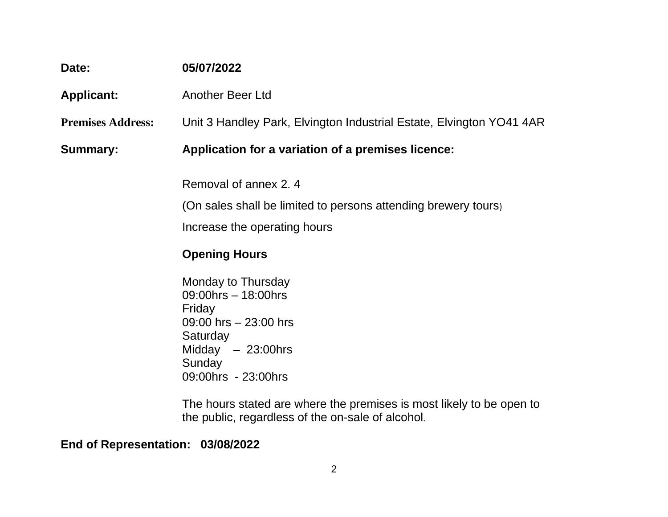| Date:                    | 05/07/2022                                                                                                                                                                                                                                                                                                                                                                        |
|--------------------------|-----------------------------------------------------------------------------------------------------------------------------------------------------------------------------------------------------------------------------------------------------------------------------------------------------------------------------------------------------------------------------------|
| <b>Applicant:</b>        | <b>Another Beer Ltd</b>                                                                                                                                                                                                                                                                                                                                                           |
| <b>Premises Address:</b> | Unit 3 Handley Park, Elvington Industrial Estate, Elvington YO41 4AR                                                                                                                                                                                                                                                                                                              |
| <b>Summary:</b>          | Application for a variation of a premises licence:                                                                                                                                                                                                                                                                                                                                |
|                          | Removal of annex 2, 4<br>(On sales shall be limited to persons attending brewery tours)<br>Increase the operating hours<br><b>Opening Hours</b><br>Monday to Thursday<br>$09:00$ hrs $-18:00$ hrs<br>Friday<br>09:00 hrs $-23:00$ hrs<br>Saturday<br>Midday $-23:00$ hrs<br>Sunday<br>09:00hrs - 23:00hrs<br>The hours stated are where the premises is most likely to be open to |
|                          | the public, regardless of the on-sale of alcohol.                                                                                                                                                                                                                                                                                                                                 |

**End of Representation: 03/08/2022**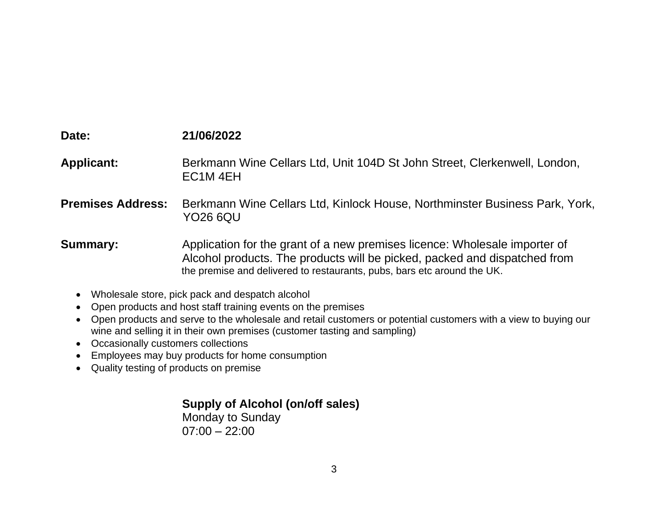| Date:                                                                                               | 21/06/2022                                                                                                                                                                                                                                                                                                                                                        |
|-----------------------------------------------------------------------------------------------------|-------------------------------------------------------------------------------------------------------------------------------------------------------------------------------------------------------------------------------------------------------------------------------------------------------------------------------------------------------------------|
| <b>Applicant:</b>                                                                                   | Berkmann Wine Cellars Ltd, Unit 104D St John Street, Clerkenwell, London,<br>EC <sub>1</sub> M <sub>4EH</sub>                                                                                                                                                                                                                                                     |
| <b>Premises Address:</b>                                                                            | Berkmann Wine Cellars Ltd, Kinlock House, Northminster Business Park, York,<br><b>YO26 6QU</b>                                                                                                                                                                                                                                                                    |
| <b>Summary:</b>                                                                                     | Application for the grant of a new premises licence: Wholesale importer of<br>Alcohol products. The products will be picked, packed and dispatched from<br>the premise and delivered to restaurants, pubs, bars etc around the UK.                                                                                                                                |
| $\bullet$<br>$\bullet$<br>$\bullet$<br>Occasionally customers collections<br>$\bullet$<br>$\bullet$ | Wholesale store, pick pack and despatch alcohol<br>Open products and host staff training events on the premises<br>Open products and serve to the wholesale and retail customers or potential customers with a view to buying our<br>wine and selling it in their own premises (customer tasting and sampling)<br>Employees may buy products for home consumption |

• Quality testing of products on premise

## **Supply of Alcohol (on/off sales)**

Monday to Sunday  $07:00 - 22:00$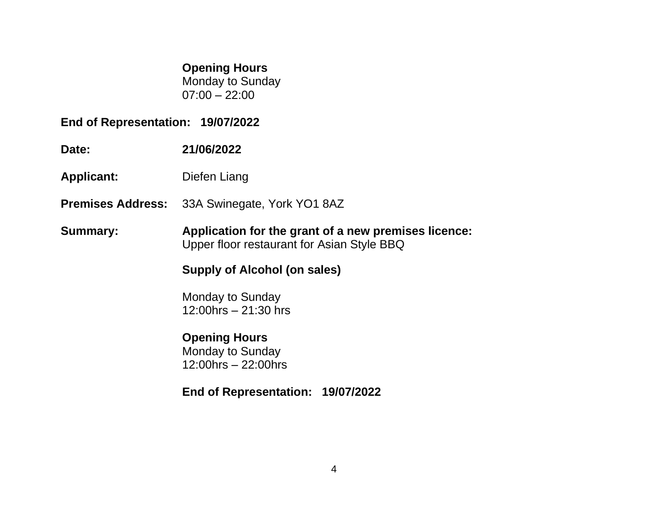#### **Opening Hours**

Monday to Sunday  $07:00 - 22:00$ 

## **End of Representation: 19/07/2022**

- **Date: 21/06/2022**
- **Applicant:** Diefen Liang
- **Premises Address:** 33A Swinegate, York YO1 8AZ
- **Summary: Application for the grant of a new premises licence:** Upper floor restaurant for Asian Style BBQ

## **Supply of Alcohol (on sales)**

Monday to Sunday 12:00hrs – 21:30 hrs

**Opening Hours**  Monday to Sunday 12:00hrs – 22:00hrs

**End of Representation: 19/07/2022**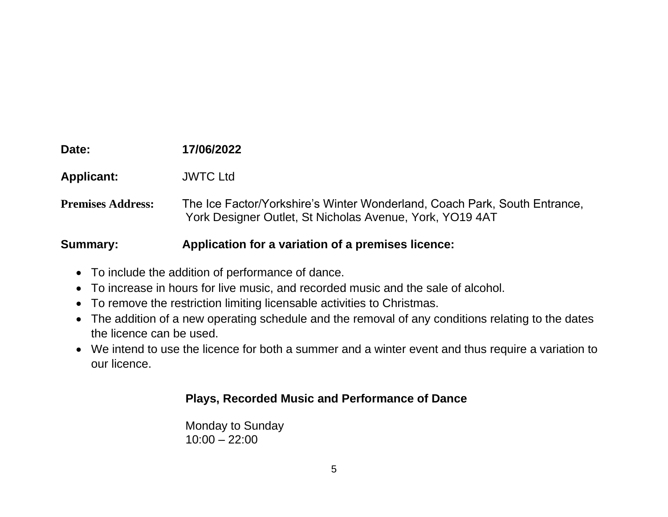| Date:                    | 17/06/2022                                                                                                                            |
|--------------------------|---------------------------------------------------------------------------------------------------------------------------------------|
| <b>Applicant:</b>        | <b>JWTC Ltd</b>                                                                                                                       |
| <b>Premises Address:</b> | The Ice Factor/Yorkshire's Winter Wonderland, Coach Park, South Entrance,<br>York Designer Outlet, St Nicholas Avenue, York, YO19 4AT |
|                          |                                                                                                                                       |

## **Summary: Application for a variation of a premises licence:**

- To include the addition of performance of dance.
- To increase in hours for live music, and recorded music and the sale of alcohol.
- To remove the restriction limiting licensable activities to Christmas.
- The addition of a new operating schedule and the removal of any conditions relating to the dates the licence can be used.
- We intend to use the licence for both a summer and a winter event and thus require a variation to our licence.

## **Plays, Recorded Music and Performance of Dance**

 Monday to Sunday 10:00 – 22:00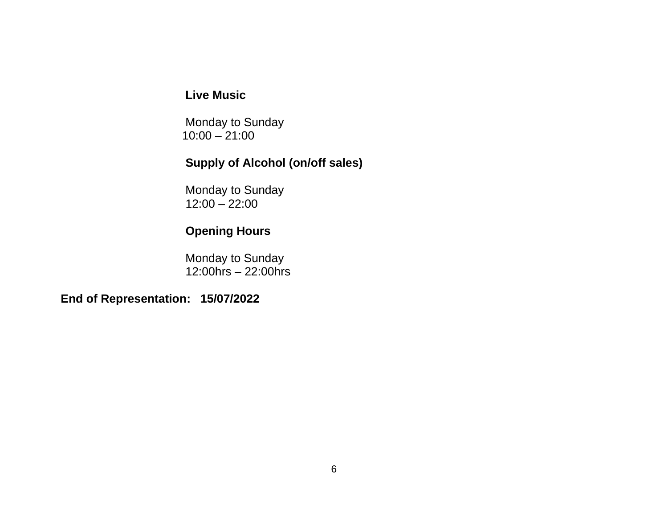## **Live Music**

 Monday to Sunday 10:00 – 21:00

## **Supply of Alcohol (on/off sales)**

 Monday to Sunday 12:00 – 22:00

## **Opening Hours**

 Monday to Sunday 12:00hrs – 22:00hrs

**End of Representation: 15/07/2022**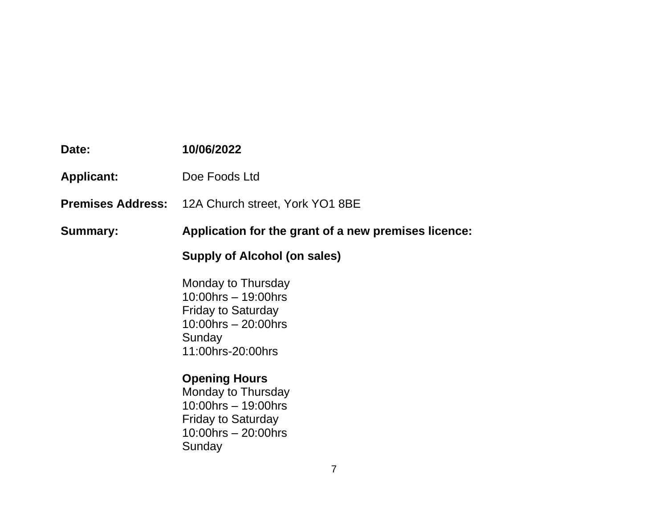| Date:             | 10/06/2022                                                                                                                                |
|-------------------|-------------------------------------------------------------------------------------------------------------------------------------------|
| <b>Applicant:</b> | Doe Foods Ltd                                                                                                                             |
|                   | <b>Premises Address:</b> 12A Church street, York YO1 8BE                                                                                  |
| <b>Summary:</b>   | Application for the grant of a new premises licence:                                                                                      |
|                   | Supply of Alcohol (on sales)                                                                                                              |
|                   | Monday to Thursday<br>$10:00$ hrs $-19:00$ hrs<br><b>Friday to Saturday</b><br>$10:00$ hrs $-20:00$ hrs<br>Sunday<br>11:00hrs-20:00hrs    |
|                   | <b>Opening Hours</b><br>Monday to Thursday<br>$10:00$ hrs $-19:00$ hrs<br><b>Friday to Saturday</b><br>$10:00$ hrs $-20:00$ hrs<br>Sunday |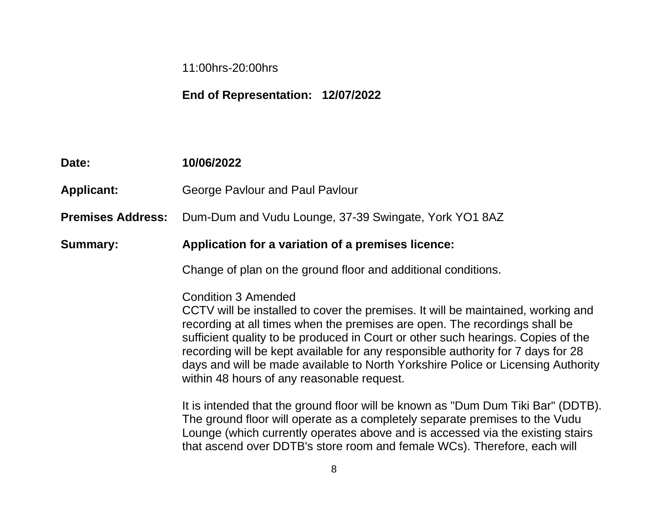## 11:00hrs-20:00hrs

# **End of Representation: 12/07/2022**

| Date:                    | 10/06/2022                                                                                                                                                                                                                                                                                                                                                                                                                                                                                             |
|--------------------------|--------------------------------------------------------------------------------------------------------------------------------------------------------------------------------------------------------------------------------------------------------------------------------------------------------------------------------------------------------------------------------------------------------------------------------------------------------------------------------------------------------|
| <b>Applicant:</b>        | George Pavlour and Paul Pavlour                                                                                                                                                                                                                                                                                                                                                                                                                                                                        |
| <b>Premises Address:</b> | Dum-Dum and Vudu Lounge, 37-39 Swingate, York YO1 8AZ                                                                                                                                                                                                                                                                                                                                                                                                                                                  |
| <b>Summary:</b>          | Application for a variation of a premises licence:                                                                                                                                                                                                                                                                                                                                                                                                                                                     |
|                          | Change of plan on the ground floor and additional conditions.                                                                                                                                                                                                                                                                                                                                                                                                                                          |
|                          | <b>Condition 3 Amended</b><br>CCTV will be installed to cover the premises. It will be maintained, working and<br>recording at all times when the premises are open. The recordings shall be<br>sufficient quality to be produced in Court or other such hearings. Copies of the<br>recording will be kept available for any responsible authority for 7 days for 28<br>days and will be made available to North Yorkshire Police or Licensing Authority<br>within 48 hours of any reasonable request. |
|                          | It is intended that the ground floor will be known as "Dum Dum Tiki Bar" (DDTB).<br>The ground floor will operate as a completely separate premises to the Vudu<br>Lounge (which currently operates above and is accessed via the existing stairs<br>that ascend over DDTB's store room and female WCs). Therefore, each will                                                                                                                                                                          |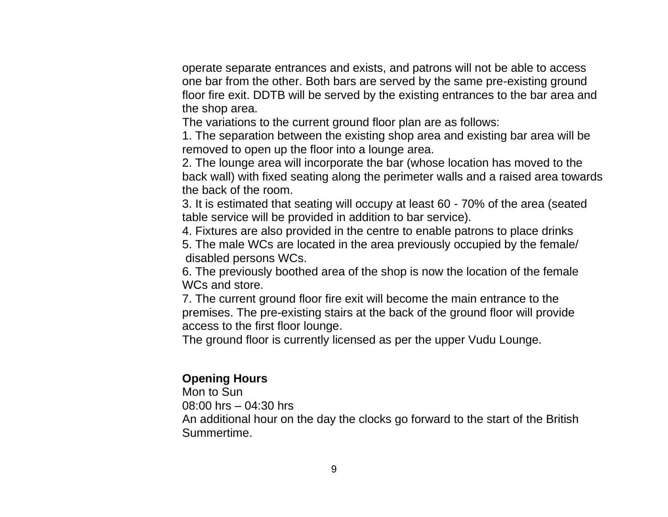operate separate entrances and exists, and patrons will not be able to access one bar from the other. Both bars are served by the same pre-existing ground floor fire exit. DDTB will be served by the existing entrances to the bar area and the shop area.

The variations to the current ground floor plan are as follows:

1. The separation between the existing shop area and existing bar area will be removed to open up the floor into a lounge area.

2. The lounge area will incorporate the bar (whose location has moved to the back wall) with fixed seating along the perimeter walls and a raised area towards the back of the room.

3. It is estimated that seating will occupy at least 60 - 70% of the area (seated table service will be provided in addition to bar service).

4. Fixtures are also provided in the centre to enable patrons to place drinks 5. The male WCs are located in the area previously occupied by the female/ disabled persons WCs.

6. The previously boothed area of the shop is now the location of the female WCs and store.

7. The current ground floor fire exit will become the main entrance to the premises. The pre-existing stairs at the back of the ground floor will provide access to the first floor lounge.

The ground floor is currently licensed as per the upper Vudu Lounge.

#### **Opening Hours**

Mon to Sun

08:00 hrs – 04:30 hrs

An additional hour on the day the clocks go forward to the start of the British Summertime.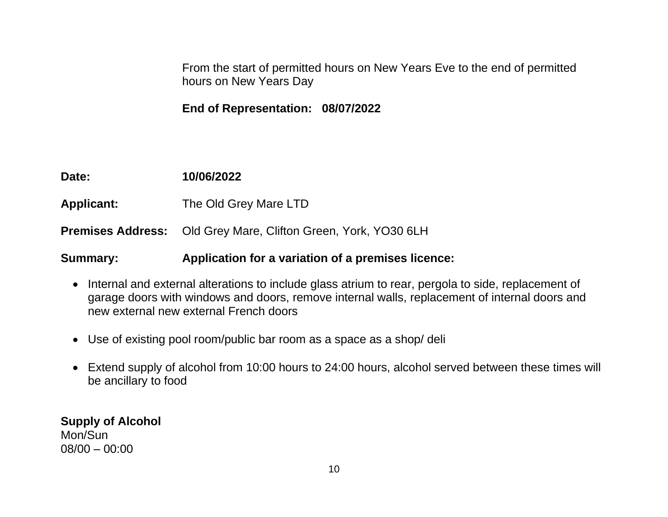From the start of permitted hours on New Years Eve to the end of permitted hours on New Years Day

 **End of Representation: 08/07/2022**

| Date:             | 10/06/2022                                                            |
|-------------------|-----------------------------------------------------------------------|
| <b>Applicant:</b> | The Old Grey Mare LTD                                                 |
|                   | <b>Premises Address:</b> Old Grey Mare, Clifton Green, York, YO30 6LH |
| <b>Summary:</b>   | Application for a variation of a premises licence:                    |

- Internal and external alterations to include glass atrium to rear, pergola to side, replacement of garage doors with windows and doors, remove internal walls, replacement of internal doors and new external new external French doors
- Use of existing pool room/public bar room as a space as a shop/ deli
- Extend supply of alcohol from 10:00 hours to 24:00 hours, alcohol served between these times will be ancillary to food

**Supply of Alcohol** Mon/Sun 08/00 – 00:00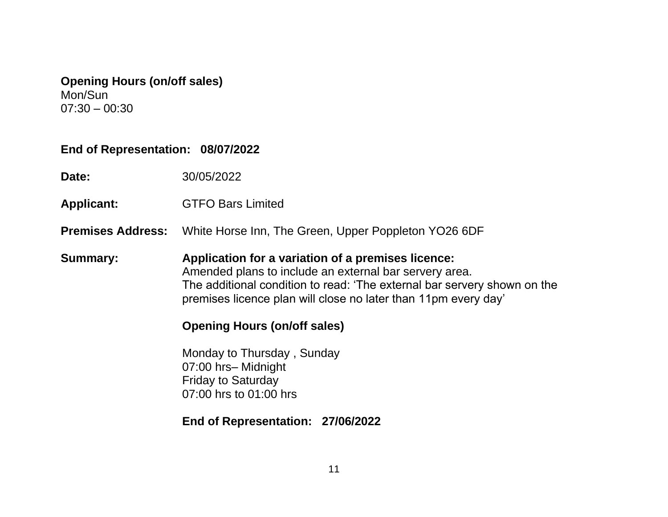#### **Opening Hours (on/off sales)**

Mon/Sun  $07:30 - 00:30$ 

## **End of Representation: 08/07/2022**

**Date:** 30/05/2022

**Applicant:** GTFO Bars Limited

**Premises Address:** White Horse Inn, The Green, Upper Poppleton YO26 6DF

**Summary: Application for a variation of a premises licence:** Amended plans to include an external bar servery area. The additional condition to read: 'The external bar servery shown on the premises licence plan will close no later than 11pm every day'

#### **Opening Hours (on/off sales)**

Monday to Thursday , Sunday 07:00 hrs– Midnight Friday to Saturday 07:00 hrs to 01:00 hrs

## **End of Representation: 27/06/2022**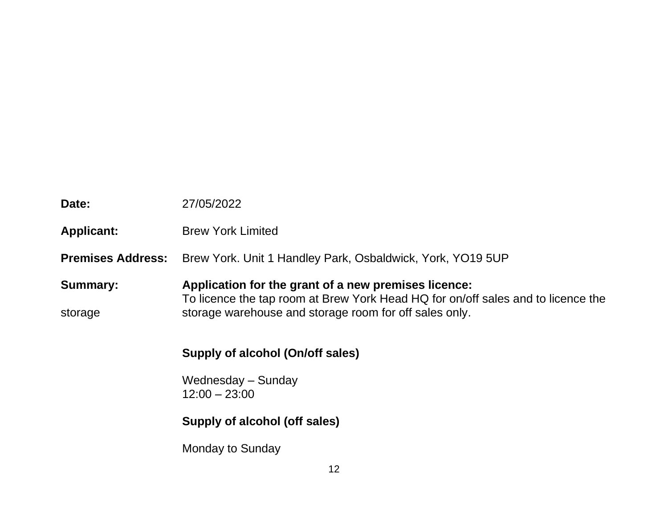| Date:                    | 27/05/2022                                                                                                                               |
|--------------------------|------------------------------------------------------------------------------------------------------------------------------------------|
| <b>Applicant:</b>        | <b>Brew York Limited</b>                                                                                                                 |
| <b>Premises Address:</b> | Brew York. Unit 1 Handley Park, Osbaldwick, York, YO19 5UP                                                                               |
| <b>Summary:</b>          | Application for the grant of a new premises licence:<br>To licence the tap room at Brew York Head HQ for on/off sales and to licence the |
| storage                  | storage warehouse and storage room for off sales only.                                                                                   |
|                          | Supply of alcohol (On/off sales)                                                                                                         |
|                          | Wednesday – Sunday<br>$12:00 - 23:00$                                                                                                    |
|                          | Supply of alcohol (off sales)                                                                                                            |
|                          | Monday to Sunday                                                                                                                         |
|                          | $\overline{A}$                                                                                                                           |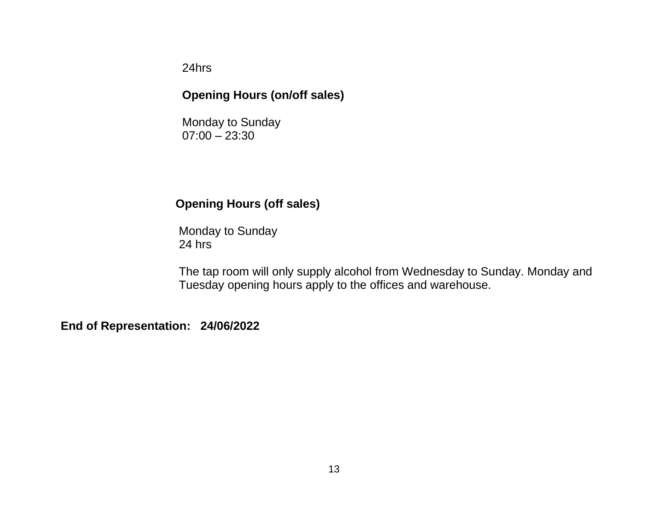24hrs

## **Opening Hours (on/off sales)**

Monday to Sunday 07:00 – 23:30

## **Opening Hours (off sales)**

Monday to Sunday 24 hrs

 The tap room will only supply alcohol from Wednesday to Sunday. Monday and Tuesday opening hours apply to the offices and warehouse.

**End of Representation: 24/06/2022**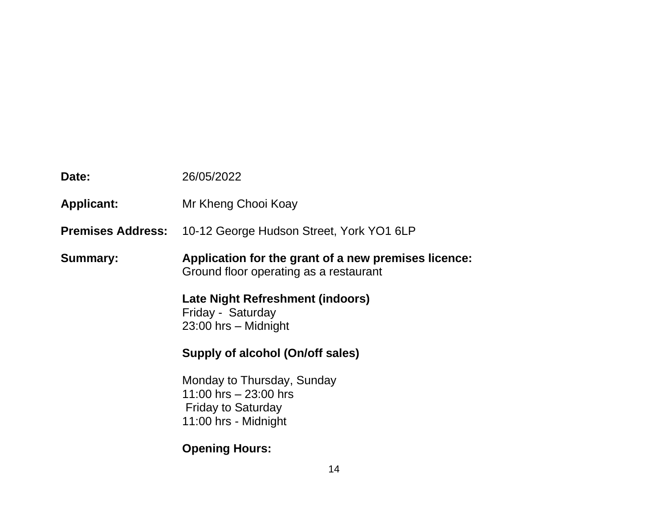| Date:             | 26/05/2022                                                                                                |
|-------------------|-----------------------------------------------------------------------------------------------------------|
| <b>Applicant:</b> | Mr Kheng Chooi Koay                                                                                       |
|                   | <b>Premises Address:</b> 10-12 George Hudson Street, York YO1 6LP                                         |
| <b>Summary:</b>   | Application for the grant of a new premises licence:<br>Ground floor operating as a restaurant            |
|                   | Late Night Refreshment (indoors)<br>Friday - Saturday<br>23:00 hrs - Midnight                             |
|                   | Supply of alcohol (On/off sales)                                                                          |
|                   | Monday to Thursday, Sunday<br>11:00 hrs $-23:00$ hrs<br><b>Friday to Saturday</b><br>11:00 hrs - Midnight |
|                   | <b>Opening Hours:</b>                                                                                     |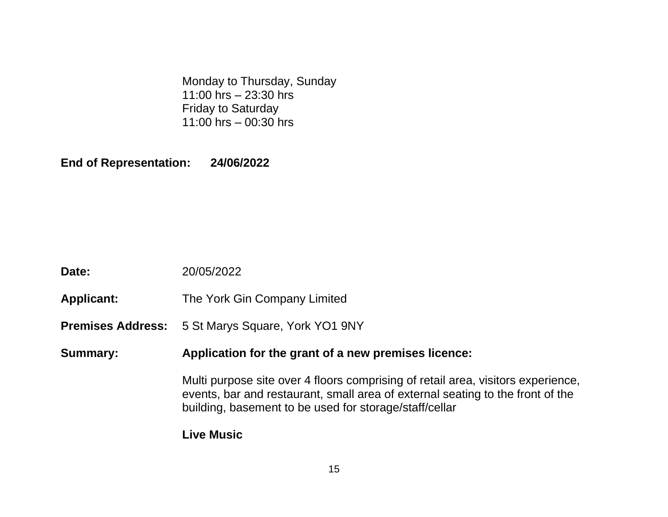Monday to Thursday, Sunday 11:00 hrs – 23:30 hrs Friday to Saturday 11:00 hrs – 00:30 hrs

**End of Representation: 24/06/2022**

|                          | <b>Live Music</b>                                                                                                                                                                                                            |
|--------------------------|------------------------------------------------------------------------------------------------------------------------------------------------------------------------------------------------------------------------------|
|                          | Multi purpose site over 4 floors comprising of retail area, visitors experience,<br>events, bar and restaurant, small area of external seating to the front of the<br>building, basement to be used for storage/staff/cellar |
| Summary:                 | Application for the grant of a new premises licence:                                                                                                                                                                         |
| <b>Premises Address:</b> | 5 St Marys Square, York YO1 9NY                                                                                                                                                                                              |
| <b>Applicant:</b>        | The York Gin Company Limited                                                                                                                                                                                                 |
| Date:                    | 20/05/2022                                                                                                                                                                                                                   |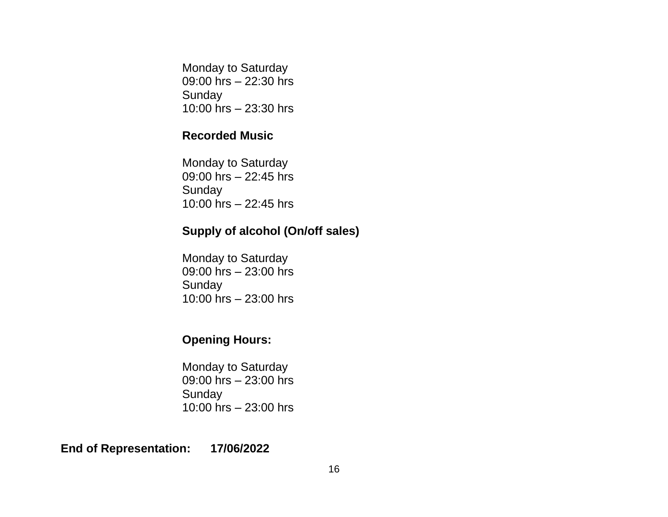Monday to Saturday 09:00 hrs – 22:30 hrs **Sunday** 10:00 hrs – 23:30 hrs

### **Recorded Music**

Monday to Saturday 09:00 hrs – 22:45 hrs Sunday 10:00 hrs – 22:45 hrs

### **Supply of alcohol (On/off sales)**

Monday to Saturday 09:00 hrs – 23:00 hrs **Sunday** 10:00 hrs – 23:00 hrs

## **Opening Hours:**

Monday to Saturday 09:00 hrs – 23:00 hrs **Sunday** 10:00 hrs – 23:00 hrs

**End of Representation: 17/06/2022**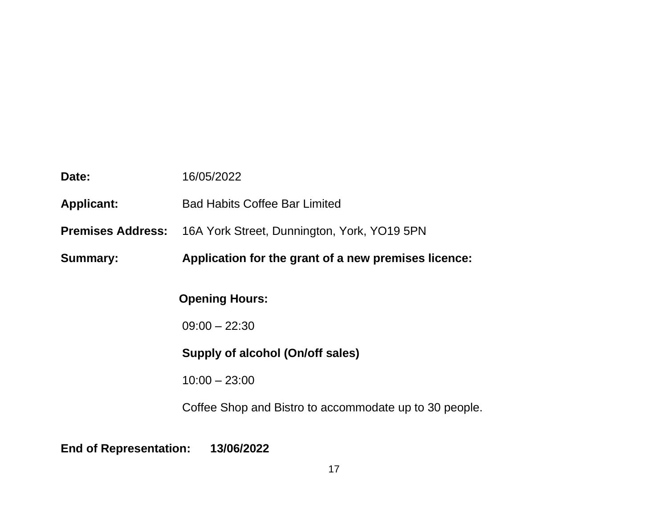| Date:             | 16/05/2022                                                           |
|-------------------|----------------------------------------------------------------------|
| <b>Applicant:</b> | <b>Bad Habits Coffee Bar Limited</b>                                 |
|                   | <b>Premises Address:</b> 16A York Street, Dunnington, York, YO19 5PN |
| <b>Summary:</b>   | Application for the grant of a new premises licence:                 |
|                   | <b>Opening Hours:</b>                                                |
|                   | $09:00 - 22:30$                                                      |
|                   | Supply of alcohol (On/off sales)                                     |
|                   | $10:00 - 23:00$                                                      |
|                   | Coffee Shop and Bistro to accommodate up to 30 people.               |
|                   |                                                                      |

**End of Representation: 13/06/2022**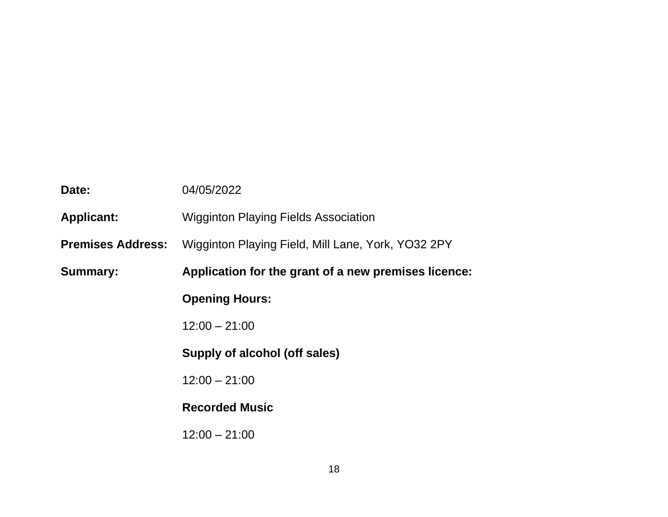| Date:                    | 04/05/2022                                           |
|--------------------------|------------------------------------------------------|
| <b>Applicant:</b>        | <b>Wigginton Playing Fields Association</b>          |
| <b>Premises Address:</b> | Wigginton Playing Field, Mill Lane, York, YO32 2PY   |
| <b>Summary:</b>          | Application for the grant of a new premises licence: |
|                          | <b>Opening Hours:</b>                                |
|                          | $12:00 - 21:00$                                      |
|                          | Supply of alcohol (off sales)                        |
|                          | $12:00 - 21:00$                                      |
|                          | <b>Recorded Music</b>                                |
|                          | $12:00 - 21:00$                                      |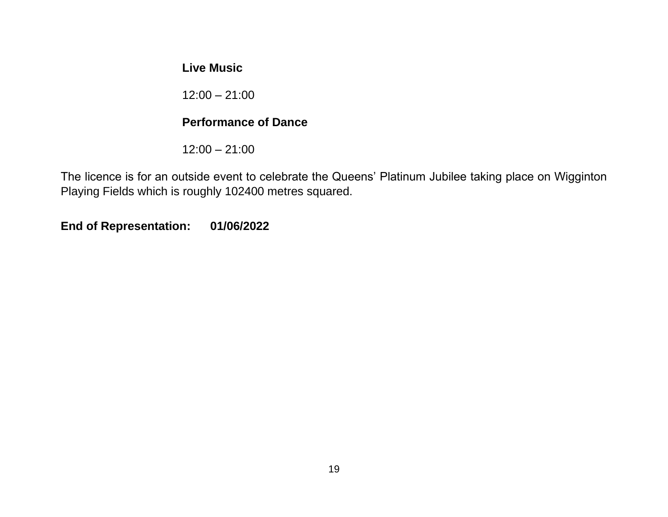## **Live Music**

12:00 – 21:00

## **Performance of Dance**

12:00 – 21:00

The licence is for an outside event to celebrate the Queens' Platinum Jubilee taking place on Wigginton Playing Fields which is roughly 102400 metres squared.

**End of Representation: 01/06/2022**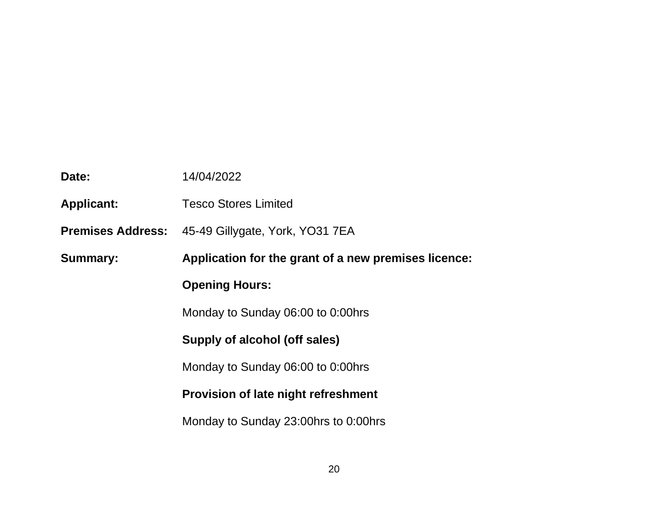| Date:             | 14/04/2022                                               |
|-------------------|----------------------------------------------------------|
| <b>Applicant:</b> | <b>Tesco Stores Limited</b>                              |
|                   | <b>Premises Address:</b> 45-49 Gillygate, York, YO31 7EA |
| <b>Summary:</b>   | Application for the grant of a new premises licence:     |
|                   | <b>Opening Hours:</b>                                    |
|                   | Monday to Sunday 06:00 to 0:00hrs                        |
|                   | Supply of alcohol (off sales)                            |
|                   | Monday to Sunday 06:00 to 0:00hrs                        |
|                   | <b>Provision of late night refreshment</b>               |
|                   | Monday to Sunday 23:00hrs to 0:00hrs                     |
|                   |                                                          |